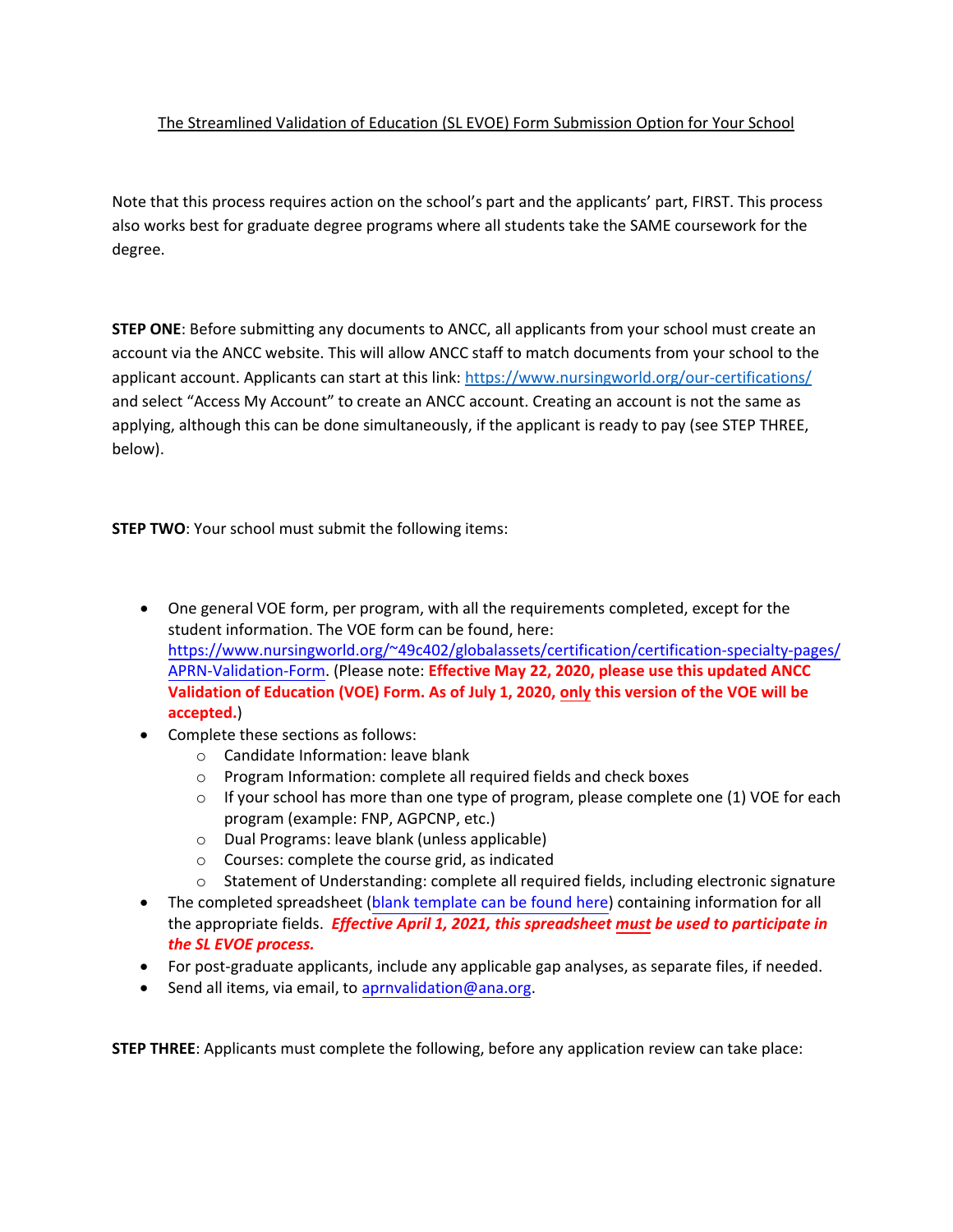## The Streamlined Validation of Education (SL EVOE) Form Submission Option for Your School

Note that this process requires action on the school's part and the applicants' part, FIRST. This process also works best for graduate degree programs where all students take the SAME coursework for the degree.

**STEP ONE**: Before submitting any documents to ANCC, all applicants from your school must create an account via the ANCC website. This will allow ANCC staff to match documents from your school to the applicant account. Applicants can start at this link[: https://www.nursingworld.org/our-certifications/](https://www.nursingworld.org/our-certifications/) and select "Access My Account" to create an ANCC account. Creating an account is not the same as applying, although this can be done simultaneously, if the applicant is ready to pay (see STEP THREE, below).

**STEP TWO**: Your school must submit the following items:

- One general VOE form, per program, with all the requirements completed, except for the student information. The VOE form can be found, here: https://www.nursingworld.org/~49c402/globalassets/certification/certification-specialty-pages/ APRN-Validation-Form. (Please note: **Effective May 22, 2020, please use this updated ANCC Validation of Education (VOE) Form. As of July 1, 2020, only this version of the VOE will be accepted.**)
- Complete these sections as follows:
	- o Candidate Information: leave blank
	- o Program Information: complete all required fields and check boxes
	- $\circ$  If your school has more than one type of program, please complete one (1) VOE for each program (example: FNP, AGPCNP, etc.)
	- o Dual Programs: leave blank (unless applicable)
	- o Courses: complete the course grid, as indicated
	- o Statement of Understanding: complete all required fields, including electronic signature
- The completed spreadsheet (blank template [can be found here](https://www.nursingworld.org/globalassets/certification/faculty-toolkit/streamlined-voe-template-.xlsx)) containing information for all the appropriate fields. *Effective April 1, 2021, this spreadsheet must be used to participate in the SL EVOE process.*
- For post-graduate applicants, include any applicable gap analyses, as separate files, if needed.
- Send all items, via email, to [aprnvalidation@ana.org.](mailto:aprnvalidation@ana.org)

**STEP THREE**: Applicants must complete the following, before any application review can take place: